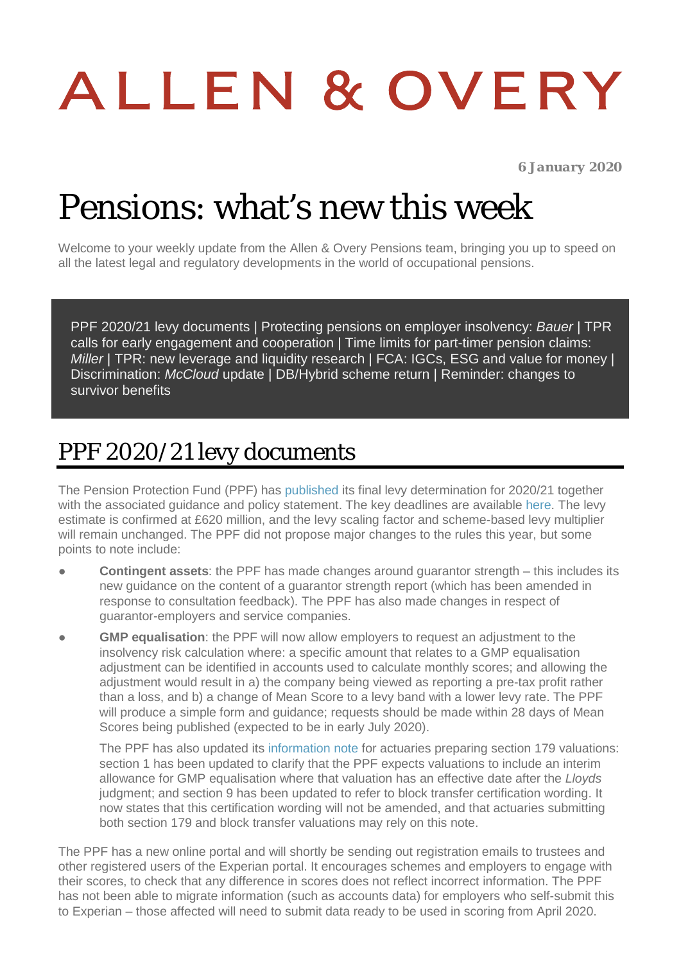# ALLEN & OVERY

*6 January 2020*

# Pensions: what's new this week

Welcome to your weekly update from the Allen & Overy Pensions team, bringing you up to speed on all the latest legal and regulatory developments in the world of occupational pensions.

[PPF 2020/21 levy documents](#page-0-0) | [Protecting pensions on employer insolvency:](#page-1-0) *Bauer* | [TPR](#page-1-1)  [calls for early engagement and cooperation](#page-1-1) | Time limits for part-timer pension claims: *[Miller](#page-1-2)* | [TPR: new leverage and liquidity research](#page-2-0) | FCA: [IGCs, ESG and value for money](#page-2-1) | [Discrimination:](#page-2-2) *McCloud* update | [DB/Hybrid scheme return](#page-3-0) | [Reminder: changes to](#page-3-1)  [survivor benefits](#page-3-1)

#### <span id="page-0-0"></span>PPF 2020/21 levy documents

The Pension Protection Fund (PPF) has [published](https://ppf.co.uk/levy-payers/levy-2020-21) its final levy determination for 2020/21 together with the associated guidance and policy statement. The key deadlines are available [here.](https://ppf.co.uk/levy-payers/levy-timeline) The levy estimate is confirmed at £620 million, and the levy scaling factor and scheme-based levy multiplier will remain unchanged. The PPF did not propose major changes to the rules this year, but some points to note include:

- **Contingent assets**: the PPF has made changes around guarantor strength this includes its new guidance on the content of a guarantor strength report (which has been amended in response to consultation feedback). The PPF has also made changes in respect of guarantor-employers and service companies.
- **GMP equalisation**: the PPF will now allow employers to request an adjustment to the insolvency risk calculation where: a specific amount that relates to a GMP equalisation adjustment can be identified in accounts used to calculate monthly scores; and allowing the adjustment would result in a) the company being viewed as reporting a pre-tax profit rather than a loss, and b) a change of Mean Score to a levy band with a lower levy rate. The PPF will produce a simple form and guidance; requests should be made within 28 days of Mean Scores being published (expected to be in early July 2020).

The PPF has also updated its [information note](https://ppf.co.uk/sites/default/files/file-2019-12/gmp_equalisation_information_note_b.pdf) for actuaries preparing section 179 valuations: section 1 has been updated to clarify that the PPF expects valuations to include an interim allowance for GMP equalisation where that valuation has an effective date after the *Lloyds* judgment; and section 9 has been updated to refer to block transfer certification wording. It now states that this certification wording will not be amended, and that actuaries submitting both section 179 and block transfer valuations may rely on this note.

The PPF has a new online portal and will shortly be sending out registration emails to trustees and other registered users of the Experian portal. It encourages schemes and employers to engage with their scores, to check that any difference in scores does not reflect incorrect information. The PPF has not been able to migrate information (such as accounts data) for employers who self-submit this to Experian – those affected will need to submit data ready to be used in scoring from April 2020.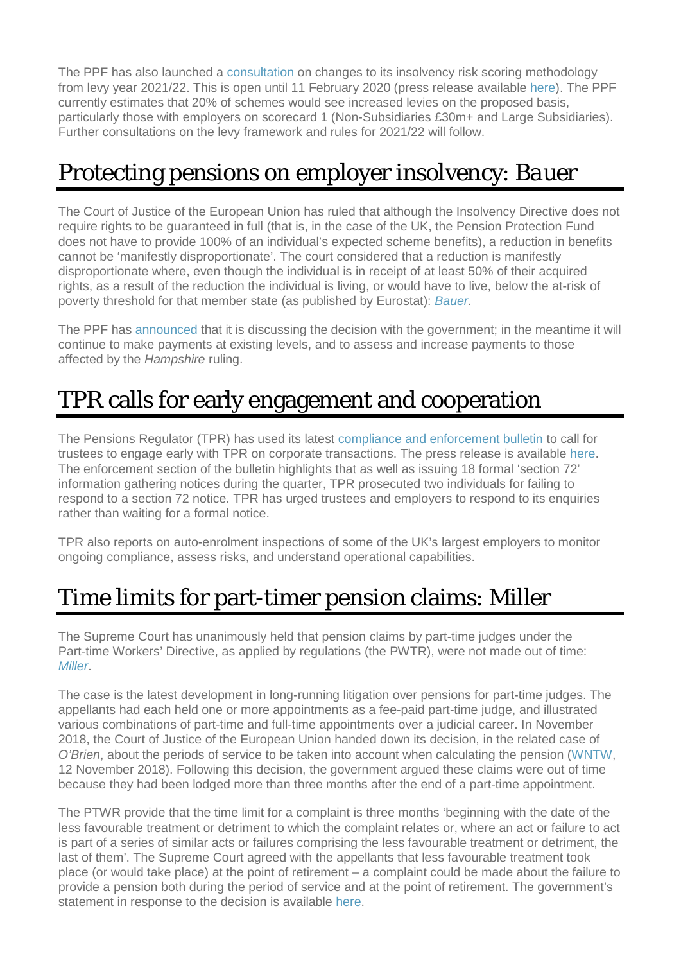The PPF has also launched a [consultation](https://ppf.co.uk/levy-payers/help-shape-our-rules) on changes to its insolvency risk scoring methodology from levy year 2021/22. This is open until 11 February 2020 (press release available [here\)](https://ppf.co.uk/news/introducing-our-new-partnership-dun-bradstreet). The PPF currently estimates that 20% of schemes would see increased levies on the proposed basis, particularly those with employers on scorecard 1 (Non-Subsidiaries £30m+ and Large Subsidiaries). Further consultations on the levy framework and rules for 2021/22 will follow.

## <span id="page-1-0"></span>Protecting pensions on employer insolvency: *Bauer*

The Court of Justice of the European Union has ruled that although the Insolvency Directive does not require rights to be guaranteed in full (that is, in the case of the UK, the Pension Protection Fund does not have to provide 100% of an individual's expected scheme benefits), a reduction in benefits cannot be 'manifestly disproportionate'. The court considered that a reduction is manifestly disproportionate where, even though the individual is in receipt of at least 50% of their acquired rights, as a result of the reduction the individual is living, or would have to live, below the at-risk of poverty threshold for that member state (as published by Eurostat): *[Bauer](http://curia.europa.eu/juris/document/document.jsf?text=&docid=221800&pageIndex=0&doclang=EN&mode=lst&dir=&occ=first&part=1&cid=8942402)*.

The PPF has [announced](https://www.ppf.co.uk/news/ecj-judgment-psv-v-bauer) that it is discussing the decision with the government; in the meantime it will continue to make payments at existing levels, and to assess and increase payments to those affected by the *Hampshire* ruling.

### <span id="page-1-1"></span>TPR calls for early engagement and cooperation

The Pensions Regulator (TPR) has used its latest [compliance and enforcement bulletin](https://www.thepensionsregulator.gov.uk/en/document-library/enforcement-activity/enforcement-bulletins/compliance-and-enforcement-quarterly-bulletin-july-to-september-2019) to call for trustees to engage early with TPR on corporate transactions. The press release is available [here.](https://www.thepensionsregulator.gov.uk/en/media-hub/press-releases/trustees-urged-engage-early-and-be-transparent) The enforcement section of the bulletin highlights that as well as issuing 18 formal 'section 72' information gathering notices during the quarter, TPR prosecuted two individuals for failing to respond to a section 72 notice. TPR has urged trustees and employers to respond to its enquiries rather than waiting for a formal notice.

TPR also reports on auto-enrolment inspections of some of the UK's largest employers to monitor ongoing compliance, assess risks, and understand operational capabilities.

### <span id="page-1-2"></span>Time limits for part-timer pension claims: *Miller*

The Supreme Court has unanimously held that pension claims by part-time judges under the Part-time Workers' Directive, as applied by regulations (the PWTR), were not made out of time: *[Miller](https://www.bailii.org/uk/cases/UKSC/2019/60.html)*.

The case is the latest development in long-running litigation over pensions for part-time judges. The appellants had each held one or more appointments as a fee-paid part-time judge, and illustrated various combinations of part-time and full-time appointments over a judicial career. In November 2018, the Court of Justice of the European Union handed down its decision, in the related case of *O'Brien*, about the periods of service to be taken into account when calculating the pension [\(WNTW,](https://www.aohub.com/aohub/publications/pensions-whats-new-this-week_80?nav=FRbANEucS95NMLRN47z%2BeeOgEFCt8EGQ71hKXzqW2Ec%3D&key=BcJlhLtdCv6%2FJTDZxvL23TQa3JHL2AIGr93BnQjo2SkGJpG9xDX7S2thDpAQsCconWHAwe6cJTkF6MqU6tQ2abXPgBQWpnip) 12 November 2018). Following this decision, the government argued these claims were out of time because they had been lodged more than three months after the end of a part-time appointment.

The PTWR provide that the time limit for a complaint is three months 'beginning with the date of the less favourable treatment or detriment to which the complaint relates or, where an act or failure to act is part of a series of similar acts or failures comprising the less favourable treatment or detriment, the last of them'. The Supreme Court agreed with the appellants that less favourable treatment took place (or would take place) at the point of retirement – a complaint could be made about the failure to provide a pension both during the period of service and at the point of retirement. The government's statement in response to the decision is available [here.](https://assets.publishing.service.gov.uk/government/uploads/system/uploads/attachment_data/file/854242/et-communication-fee-paid-judges-ob2-miller-december-2019.pdf)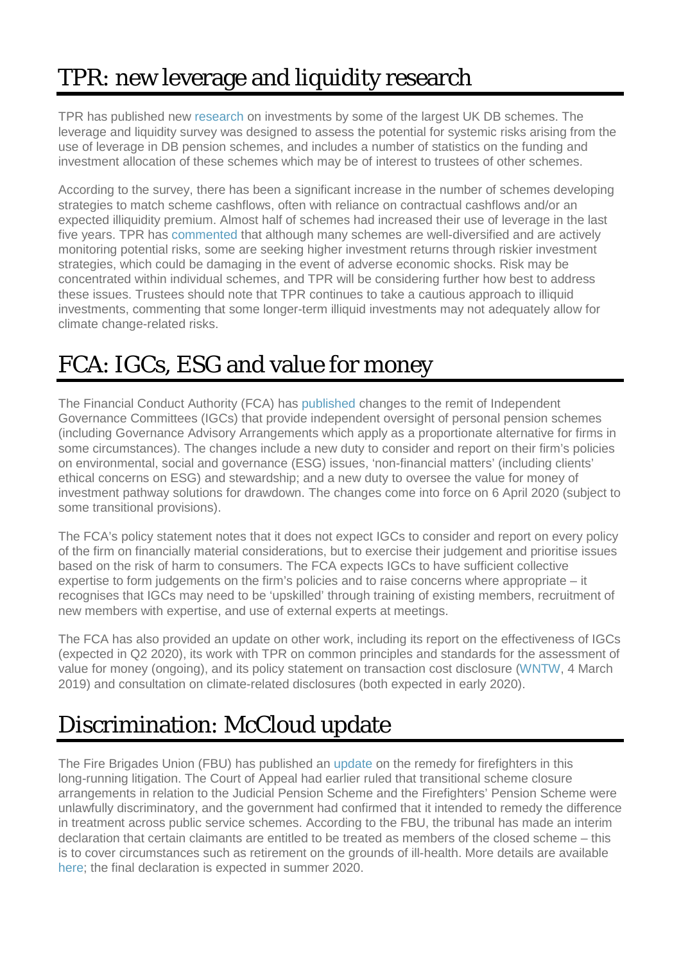# <span id="page-2-0"></span>TPR: new leverage and liquidity research

TPR has published new [research](https://www.thepensionsregulator.gov.uk/-/media/thepensionsregulator/files/import/pdf/db-pension-scheme-leverage-and-liquidity-survey.ashx?la=en&hash=1DDBD287D5C70959DE58F3F36FA632095A21D0B7) on investments by some of the largest UK DB schemes. The leverage and liquidity survey was designed to assess the potential for systemic risks arising from the use of leverage in DB pension schemes, and includes a number of statistics on the funding and investment allocation of these schemes which may be of interest to trustees of other schemes.

According to the survey, there has been a significant increase in the number of schemes developing strategies to match scheme cashflows, often with reliance on contractual cashflows and/or an expected illiquidity premium. Almost half of schemes had increased their use of leverage in the last five years. TPR has [commented](https://www.thepensionsregulator.gov.uk/en/media-hub/press-releases/tpr-issues-leverage-and-liquidity-research) that although many schemes are well-diversified and are actively monitoring potential risks, some are seeking higher investment returns through riskier investment strategies, which could be damaging in the event of adverse economic shocks. Risk may be concentrated within individual schemes, and TPR will be considering further how best to address these issues. Trustees should note that TPR continues to take a cautious approach to illiquid investments, commenting that some longer-term illiquid investments may not adequately allow for climate change-related risks.

#### <span id="page-2-1"></span>FCA: IGCs, ESG and value for money

The Financial Conduct Authority (FCA) has [published](https://www.fca.org.uk/publication/policy/ps19-30.pdf) changes to the remit of Independent Governance Committees (IGCs) that provide independent oversight of personal pension schemes (including Governance Advisory Arrangements which apply as a proportionate alternative for firms in some circumstances). The changes include a new duty to consider and report on their firm's policies on environmental, social and governance (ESG) issues, 'non-financial matters' (including clients' ethical concerns on ESG) and stewardship; and a new duty to oversee the value for money of investment pathway solutions for drawdown. The changes come into force on 6 April 2020 (subject to some transitional provisions).

The FCA's policy statement notes that it does not expect IGCs to consider and report on every policy of the firm on financially material considerations, but to exercise their judgement and prioritise issues based on the risk of harm to consumers. The FCA expects IGCs to have sufficient collective expertise to form judgements on the firm's policies and to raise concerns where appropriate – it recognises that IGCs may need to be 'upskilled' through training of existing members, recruitment of new members with expertise, and use of external experts at meetings.

The FCA has also provided an update on other work, including its report on the effectiveness of IGCs (expected in Q2 2020), its work with TPR on common principles and standards for the assessment of value for money (ongoing), and its policy statement on transaction cost disclosure [\(WNTW,](https://www.aohub.com/aohub/publications/pensions-whats-new-this-week_94?nav=FRbANEucS95NMLRN47z%2BeeOgEFCt8EGQ71hKXzqW2Ec%3D&key=BcJlhLtdCv6%2FJTDZxvL23TQa3JHL2AIGr93BnQjo2SkGJpG9xDX7S2thDpAQsCconWHAwe6cJTkfqpq8dP8dILUKIYbf2%2B19) 4 March 2019) and consultation on climate-related disclosures (both expected in early 2020).

# <span id="page-2-2"></span>Discrimination: *McCloud* update

The Fire Brigades Union (FBU) has published an [update](https://www.fbu.org.uk/news/2019/12/18/firefighters-win-back-pensions-blow-government) on the remedy for firefighters in this long-running litigation. The Court of Appeal had earlier ruled that transitional scheme closure arrangements in relation to the Judicial Pension Scheme and the Firefighters' Pension Scheme were unlawfully discriminatory, and the government had confirmed that it intended to remedy the difference in treatment across public service schemes. According to the FBU, the tribunal has made an interim declaration that certain claimants are entitled to be treated as members of the closed scheme – this is to cover circumstances such as retirement on the grounds of ill-health. More details are available [here;](https://www.fbu.org.uk/circular/2019hoc0664mw/pensions-another-step-forward-our-fight-important-information-following) the final declaration is expected in summer 2020.